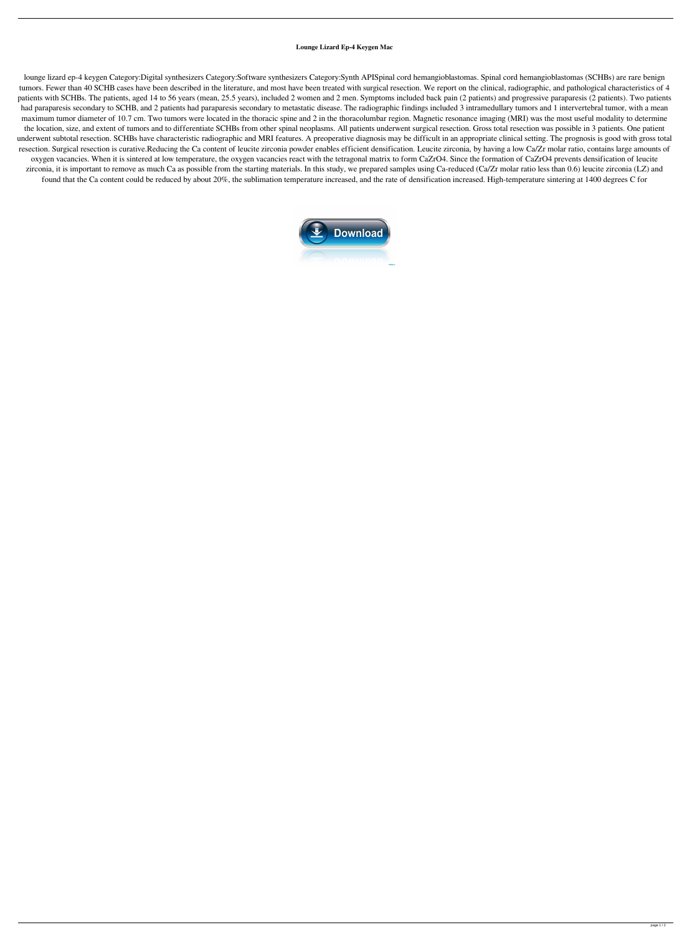## **Lounge Lizard Ep-4 Keygen Mac**

lounge lizard ep-4 keygen Category:Digital synthesizers Category:Software synthesizers Category:Synth APISpinal cord hemangioblastomas. Spinal cord hemangioblastomas (SCHBs) are rare benign tumors. Fewer than 40 SCHB cases have been described in the literature, and most have been treated with surgical resection. We report on the clinical, radiographic, and pathological characteristics of 4 patients with SCHBs. The patients, aged 14 to 56 years (mean, 25.5 years), included 2 women and 2 men. Symptoms included back pain (2 patients) and progressive paraparesis (2 patients). Two patients had paraparesis secondary to SCHB, and 2 patients had paraparesis secondary to metastatic disease. The radiographic findings included 3 intramedullary tumors and 1 intervertebral tumor, with a mean maximum tumor diameter of 10.7 cm. Two tumors were located in the thoracic spine and 2 in the thoracolumbar region. Magnetic resonance imaging (MRI) was the most useful modality to determine the location, size, and extent of tumors and to differentiate SCHBs from other spinal neoplasms. All patients underwent surgical resection. Gross total resection was possible in 3 patients. One patient underwent subtotal resection. SCHBs have characteristic radiographic and MRI features. A preoperative diagnosis may be difficult in an appropriate clinical setting. The prognosis is good with gross total resection. Surgical resection is curative.Reducing the Ca content of leucite zirconia powder enables efficient densification. Leucite zirconia, by having a low Ca/Zr molar ratio, contains large amounts of oxygen vacancies. When it is sintered at low temperature, the oxygen vacancies react with the tetragonal matrix to form CaZrO4. Since the formation of CaZrO4 prevents densification of leucite zirconia, it is important to remove as much Ca as possible from the starting materials. In this study, we prepared samples using Ca-reduced (Ca/Zr molar ratio less than 0.6) leucite zirconia (LZ) and found that the Ca content could be reduced by about 20%, the sublimation temperature increased, and the rate of densification increased. High-temperature sintering at 1400 degrees C for